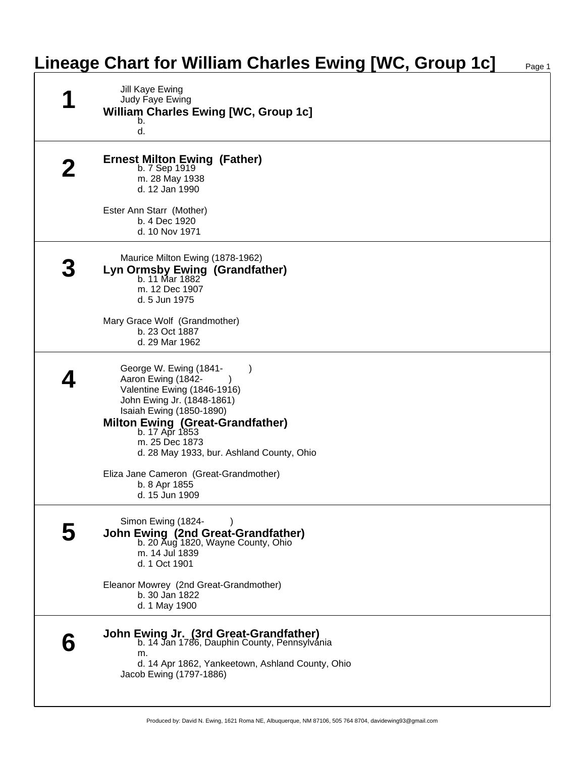## **Lineage Chart for William Charles Ewing [WC, Group 1c]**

| Jill Kaye Ewing<br>Judy Faye Ewing<br><b>William Charles Ewing [WC, Group 1c]</b><br>b.<br>d.                                                                                                                                                                                                                                                               |
|-------------------------------------------------------------------------------------------------------------------------------------------------------------------------------------------------------------------------------------------------------------------------------------------------------------------------------------------------------------|
| <b>Ernest Milton Ewing (Father)</b><br>b. 7 Sep 1919<br>m. 28 May 1938<br>d. 12 Jan 1990<br>Ester Ann Starr (Mother)<br>b. 4 Dec 1920<br>d. 10 Nov 1971                                                                                                                                                                                                     |
| Maurice Milton Ewing (1878-1962)<br>Lyn Ormsby Ewing (Grandfather)<br>b. 11 Mar 1882<br>m. 12 Dec 1907<br>d. 5 Jun 1975<br>Mary Grace Wolf (Grandmother)<br>b. 23 Oct 1887<br>d. 29 Mar 1962                                                                                                                                                                |
| George W. Ewing (1841-<br>$\lambda$<br>Aaron Ewing (1842-<br>Valentine Ewing (1846-1916)<br>John Ewing Jr. (1848-1861)<br>Isaiah Ewing (1850-1890)<br><b>Milton Ewing (Great-Grandfather)</b><br>b. 17 Apr 1853<br>m. 25 Dec 1873<br>d. 28 May 1933, bur. Ashland County, Ohio<br>Eliza Jane Cameron (Great-Grandmother)<br>b. 8 Apr 1855<br>d. 15 Jun 1909 |
| Simon Ewing (1824-<br>John Ewing (2nd Great-Grandfather)<br>b. 20 Aug 1820, Wayne County, Ohio<br>m. 14 Jul 1839<br>d. 1 Oct 1901<br>Eleanor Mowrey (2nd Great-Grandmother)<br>b. 30 Jan 1822<br>d. 1 May 1900                                                                                                                                              |
| <b>John Ewing Jr. (3rd Great-Grandfather)</b><br>b. 14 Jan 1786, Dauphin County, Pennsylvania<br>m.<br>d. 14 Apr 1862, Yankeetown, Ashland County, Ohio<br>Jacob Ewing (1797-1886)                                                                                                                                                                          |